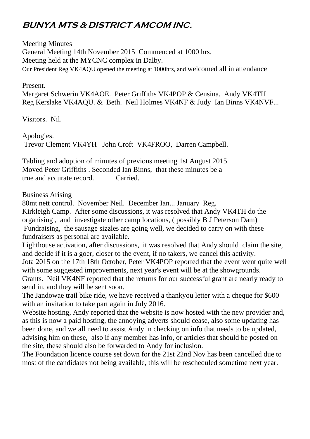# **BUNYA MTS & DISTRICT AMCOM INC.**

Meeting Minutes General Meeting 14th November 2015 Commenced at 1000 hrs. Meeting held at the MYCNC complex in Dalby. Our President Reg VK4AQU opened the meeting at 1000hrs, and welcomed all in attendance

Present.

Margaret Schwerin VK4AOE. Peter Griffiths VK4POP & Censina. Andy VK4TH Reg Kerslake VK4AQU. & Beth. Neil Holmes VK4NF & Judy Ian Binns VK4NVF...

Visitors. Nil.

Apologies.

Trevor Clement VK4YH John Croft VK4FROO, Darren Campbell.

Tabling and adoption of minutes of previous meeting 1st August 2015 Moved Peter Griffiths . Seconded Ian Binns, that these minutes be a true and accurate record. Carried.

Business Arising

80mt nett control. November Neil. December Ian... January Reg. Kirkleigh Camp. After some discussions, it was resolved that Andy VK4TH do the organising , and investigate other camp locations, ( possibly B J Peterson Dam) Fundraising, the sausage sizzles are going well, we decided to carry on with these fundraisers as personal are available.

Lighthouse activation, after discussions, it was resolved that Andy should claim the site, and decide if it is a goer, closer to the event, if no takers, we cancel this activity. Jota 2015 on the 17th 18th October, Peter VK4POP reported that the event went quite well with some suggested improvements, next year's event will be at the showgrounds. Grants. Neil VK4NF reported that the returns for our successful grant are nearly ready to send in, and they will be sent soon.

The Jandowae trail bike ride, we have received a thankyou letter with a cheque for \$600 with an invitation to take part again in July 2016.

Website hosting, Andy reported that the website is now hosted with the new provider and, as this is now a paid hosting, the annoying adverts should cease, also some updating has been done, and we all need to assist Andy in checking on info that needs to be updated, advising him on these, also if any member has info, or articles that should be posted on the site, these should also be forwarded to Andy for inclusion.

The Foundation licence course set down for the 21st 22nd Nov has been cancelled due to most of the candidates not being available, this will be rescheduled sometime next year.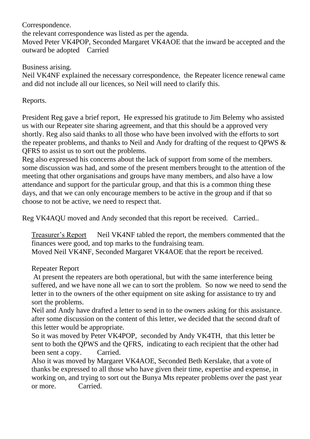Correspondence. the relevant correspondence was listed as per the agenda. Moved Peter VK4POP, Seconded Margaret VK4AOE that the inward be accepted and the outward be adopted Carried

#### Business arising.

Neil VK4NF explained the necessary correspondence, the Repeater licence renewal came and did not include all our licences, so Neil will need to clarify this.

## Reports.

President Reg gave a brief report, He expressed his gratitude to Jim Belemy who assisted us with our Repeater site sharing agreement, and that this should be a approved very shortly. Reg also said thanks to all those who have been involved with the efforts to sort the repeater problems, and thanks to Neil and Andy for drafting of the request to QPWS & QFRS to assist us to sort out the problems.

Reg also expressed his concerns about the lack of support from some of the members. some discussion was had, and some of the present members brought to the attention of the meeting that other organisations and groups have many members, and also have a low attendance and support for the particular group, and that this is a common thing these days, and that we can only encourage members to be active in the group and if that so choose to not be active, we need to respect that.

Reg VK4AQU moved and Andy seconded that this report be received. Carried..

Treasurer's Report Neil VK4NF tabled the report, the members commented that the finances were good, and top marks to the fundraising team. Moved Neil VK4NF, Seconded Margaret VK4AOE that the report be received.

#### Repeater Report

At present the repeaters are both operational, but with the same interference being suffered, and we have none all we can to sort the problem. So now we need to send the letter in to the owners of the other equipment on site asking for assistance to try and sort the problems.

Neil and Andy have drafted a letter to send in to the owners asking for this assistance. after some discussion on the content of this letter, we decided that the second draft of this letter would be appropriate.

So it was moved by Peter VK4POP, seconded by Andy VK4TH, that this letter be sent to both the QPWS and the QFRS, indicating to each recipient that the other had been sent a copy. Carried.

Also it was moved by Margaret VK4AOE, Seconded Beth Kerslake, that a vote of thanks be expressed to all those who have given their time, expertise and expense, in working on, and trying to sort out the Bunya Mts repeater problems over the past year or more. Carried.